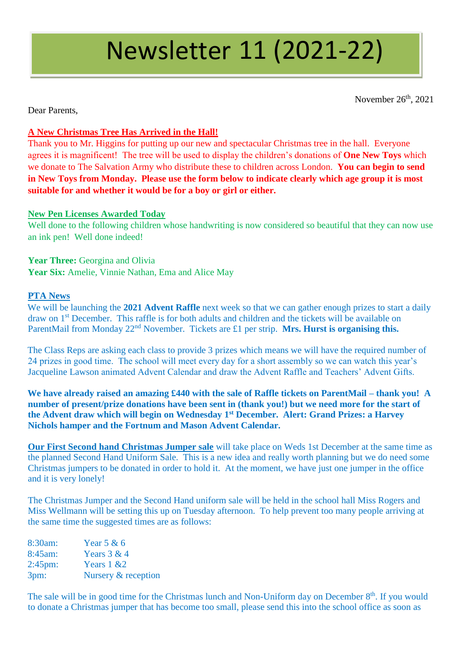# Newsletter 11 (2021-22)

November 26<sup>th</sup>, 2021

Dear Parents,

#### **A New Christmas Tree Has Arrived in the Hall!**

Thank you to Mr. Higgins for putting up our new and spectacular Christmas tree in the hall. Everyone agrees it is magnificent! The tree will be used to display the children's donations of **One New Toys** which we donate to The Salvation Army who distribute these to children across London. **You can begin to send in New Toys from Monday. Please use the form below to indicate clearly which age group it is most suitable for and whether it would be for a boy or girl or either.**

#### **New Pen Licenses Awarded Today**

Well done to the following children whose handwriting is now considered so beautiful that they can now use an ink pen! Well done indeed!

Year Three: Georgina and Olivia Year Six: Amelie, Vinnie Nathan, Ema and Alice May

#### **PTA News**

We will be launching the **2021 Advent Raffle** next week so that we can gather enough prizes to start a daily draw on 1<sup>st</sup> December. This raffle is for both adults and children and the tickets will be available on ParentMail from Monday  $22<sup>nd</sup>$  November. Tickets are £1 per strip. **Mrs. Hurst is organising this.** 

The Class Reps are asking each class to provide 3 prizes which means we will have the required number of 24 prizes in good time. The school will meet every day for a short assembly so we can watch this year's Jacqueline Lawson animated Advent Calendar and draw the Advent Raffle and Teachers' Advent Gifts.

**We have already raised an amazing £440 with the sale of Raffle tickets on ParentMail – thank you! A number of present/prize donations have been sent in (thank you!) but we need more for the start of the Advent draw which will begin on Wednesday 1st December. Alert: Grand Prizes: a Harvey Nichols hamper and the Fortnum and Mason Advent Calendar.**

**Our First Second hand Christmas Jumper sale** will take place on Weds 1st December at the same time as the planned Second Hand Uniform Sale. This is a new idea and really worth planning but we do need some Christmas jumpers to be donated in order to hold it. At the moment, we have just one jumper in the office and it is very lonely!

The Christmas Jumper and the Second Hand uniform sale will be held in the school hall Miss Rogers and Miss Wellmann will be setting this up on Tuesday afternoon. To help prevent too many people arriving at the same time the suggested times are as follows:

| 8:30am:            | Year $5 & 6$        |
|--------------------|---------------------|
| 8:45am:            | Years $3 & 4$       |
| $2:45 \text{pm}$ : | Years $1 \& 2$      |
| 3pm:               | Nursery & reception |

The sale will be in good time for the Christmas lunch and Non-Uniform day on December 8<sup>th</sup>. If you would to donate a Christmas jumper that has become too small, please send this into the school office as soon as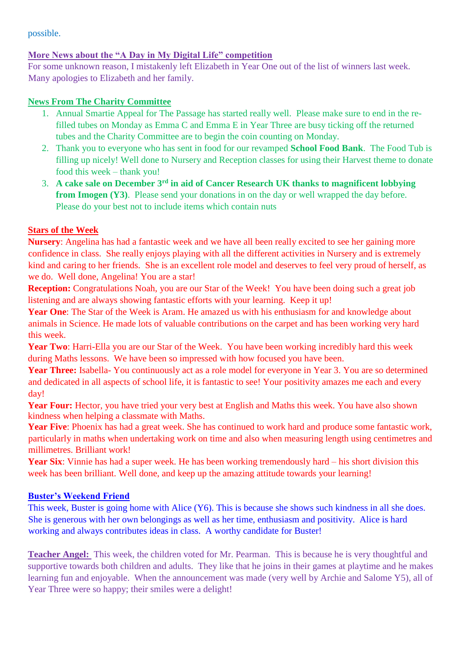possible.

# **More News about the "A Day in My Digital Life" competition**

For some unknown reason, I mistakenly left Elizabeth in Year One out of the list of winners last week. Many apologies to Elizabeth and her family.

## **News From The Charity Committee**

- 1. Annual Smartie Appeal for The Passage has started really well. Please make sure to end in the refilled tubes on Monday as Emma C and Emma E in Year Three are busy ticking off the returned tubes and the Charity Committee are to begin the coin counting on Monday.
- 2. Thank you to everyone who has sent in food for our revamped **School Food Bank**. The Food Tub is filling up nicely! Well done to Nursery and Reception classes for using their Harvest theme to donate food this week – thank you!
- 3. **A cake sale on December 3rd in aid of Cancer Research UK thanks to magnificent lobbying from Imogen (Y3)**. Please send your donations in on the day or well wrapped the day before. Please do your best not to include items which contain nuts

# **Stars of the Week**

**Nursery**: Angelina has had a fantastic week and we have all been really excited to see her gaining more confidence in class. She really enjoys playing with all the different activities in Nursery and is extremely kind and caring to her friends. She is an excellent role model and deserves to feel very proud of herself, as we do. Well done, Angelina! You are a star!

**Reception:** Congratulations Noah, you are our Star of the Week! You have been doing such a great job listening and are always showing fantastic efforts with your learning. Keep it up!

Year One: The Star of the Week is Aram. He amazed us with his enthusiasm for and knowledge about animals in Science. He made lots of valuable contributions on the carpet and has been working very hard this week.

**Year Two**: Harri-Ella you are our Star of the Week. You have been working incredibly hard this week during Maths lessons. We have been so impressed with how focused you have been.

Year Three: Isabella- You continuously act as a role model for everyone in Year 3. You are so determined and dedicated in all aspects of school life, it is fantastic to see! Your positivity amazes me each and every day!

Year Four: Hector, you have tried your very best at English and Maths this week. You have also shown kindness when helping a classmate with Maths.

**Year Five**: Phoenix has had a great week. She has continued to work hard and produce some fantastic work, particularly in maths when undertaking work on time and also when measuring length using centimetres and millimetres. Brilliant work!

**Year Six**: Vinnie has had a super week. He has been working tremendously hard – his short division this week has been brilliant. Well done, and keep up the amazing attitude towards your learning!

### **Buster's Weekend Friend**

This week, Buster is going home with Alice (Y6). This is because she shows such kindness in all she does. She is generous with her own belongings as well as her time, enthusiasm and positivity. Alice is hard working and always contributes ideas in class. A worthy candidate for Buster!

**Teacher Angel:** This week, the children voted for Mr. Pearman. This is because he is very thoughtful and supportive towards both children and adults. They like that he joins in their games at playtime and he makes learning fun and enjoyable. When the announcement was made (very well by Archie and Salome Y5), all of Year Three were so happy; their smiles were a delight!